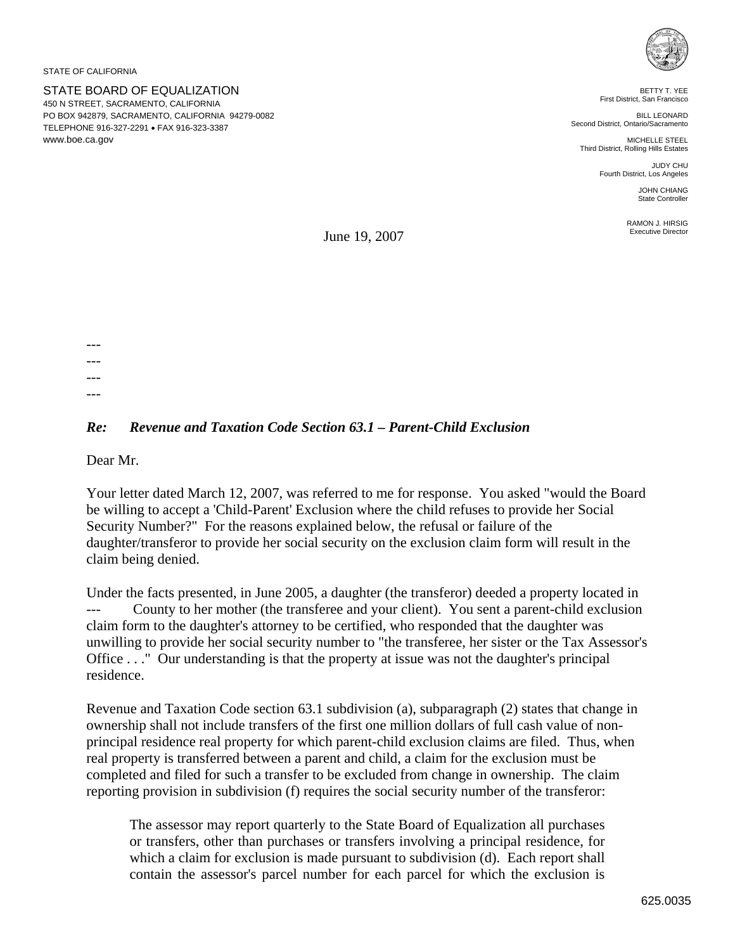STATE OF CALIFORNIA

STATE BOARD OF EQUALIZATION 450 N STREET, SACRAMENTO, CALIFORNIA PO BOX 942879, SACRAMENTO, CALIFORNIA 94279-0082 TELEPHONE 916-327-2291 • FAX 916-323-3387 www.boe.ca.gov



BETTY T. YEE First District, San Francisco

BILL LEONARD Second District, Ontario/Sacramento

MICHELLE STEEL Third District, Rolling Hills Estates

> JUDY CHU Fourth District, Los Angeles

> > JOHN CHIANG State Controller

RAMON J. HIRSIG Executive Director

June 19, 2007

--- --- --- ---

## *Re: Revenue and Taxation Code Section 63.1 – Parent-Child Exclusion*

Dear Mr.

Your letter dated March 12, 2007, was referred to me for response. You asked "would the Board be willing to accept a 'Child-Parent' Exclusion where the child refuses to provide her Social Security Number?" For the reasons explained below, the refusal or failure of the daughter/transferor to provide her social security on the exclusion claim form will result in the claim being denied.

Under the facts presented, in June 2005, a daughter (the transferor) deeded a property located in --- County to her mother (the transferee and your client). You sent a parent-child exclusion claim form to the daughter's attorney to be certified, who responded that the daughter was unwilling to provide her social security number to "the transferee, her sister or the Tax Assessor's Office . . ." Our understanding is that the property at issue was not the daughter's principal residence.

Revenue and Taxation Code section 63.1 subdivision (a), subparagraph (2) states that change in ownership shall not include transfers of the first one million dollars of full cash value of nonprincipal residence real property for which parent-child exclusion claims are filed. Thus, when real property is transferred between a parent and child, a claim for the exclusion must be completed and filed for such a transfer to be excluded from change in ownership. The claim reporting provision in subdivision (f) requires the social security number of the transferor:

The assessor may report quarterly to the State Board of Equalization all purchases or transfers, other than purchases or transfers involving a principal residence, for which a claim for exclusion is made pursuant to subdivision (d). Each report shall contain the assessor's parcel number for each parcel for which the exclusion is